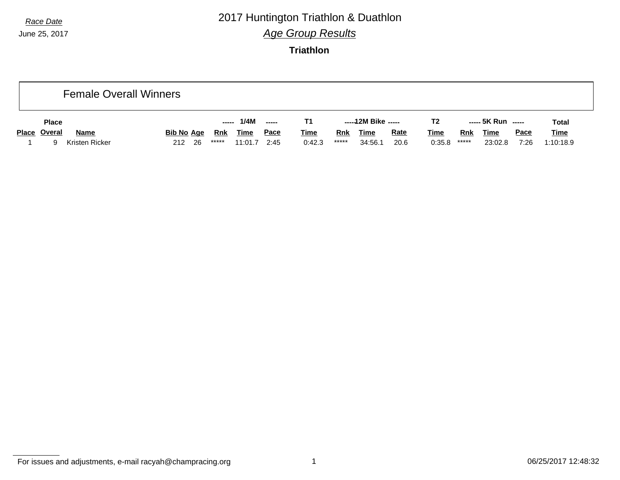## *Race Date* 2017 Huntington Triathlon & Duathlon *Age Group Results*

**Triathlon**

|              |                | <b>Female Overall Winners</b> |      |       |             |             |             |            |                     |             |                |            |                    |             |              |
|--------------|----------------|-------------------------------|------|-------|-------------|-------------|-------------|------------|---------------------|-------------|----------------|------------|--------------------|-------------|--------------|
| <b>Place</b> |                |                               |      | ----- | 1/4M        | $---$       | Τ1          |            | -----12M Bike ----- |             | T <sub>2</sub> |            | ----- 5K Run ----- |             | <b>Total</b> |
| Place Overal | <b>Name</b>    | <u>Bib No_Age</u>             |      | Rnk   | <b>Time</b> | <u>Pace</u> | <b>Time</b> | <b>Rnk</b> | <b>Time</b>         | <b>Rate</b> | <u>Time</u>    | <b>Rnk</b> | <u>Time</u>        | <u>Pace</u> | <b>Time</b>  |
| a            | Kristen Ricker | 212                           | - 26 | ***** | 11:01.7     | 2:45        | 0:42.3      | *****      | 34:56.1             | 20.6        | 0:35.8         | *****      | 23:02.8            | 7:26        | 1:10:18.9    |

For issues and adjustments, e-mail racyah@champracing.org 1 06/25/2017 12:48:32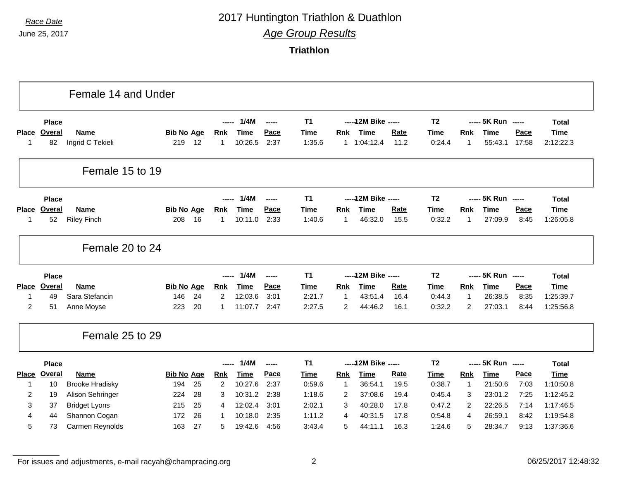## *Race Date* 2017 Huntington Triathlon & Duathlon *Age Group Results*

**Triathlon**

|                                |               | Female 14 and Under    |                   |    |                |             |       |                |                |                      |             |                |                |                    |       |                        |
|--------------------------------|---------------|------------------------|-------------------|----|----------------|-------------|-------|----------------|----------------|----------------------|-------------|----------------|----------------|--------------------|-------|------------------------|
|                                | <b>Place</b>  |                        |                   |    |                | 1/4M        | ----- | T <sub>1</sub> |                | ----- 12M Bike ----- |             | T <sub>2</sub> |                | ----- 5K Run ----- |       | <b>Total</b>           |
| Place                          | <b>Overal</b> | <b>Name</b>            | <b>Bib No Age</b> |    | <u>Rnk</u>     | <b>Time</b> | Pace  | <b>Time</b>    | <b>Rnk</b>     | <b>Time</b>          | Rate        | <b>Time</b>    | <b>Rnk</b>     | <b>Time</b>        | Pace  | <b>Time</b>            |
| $\mathbf 1$                    | 82            | Ingrid C Tekieli       | 219               | 12 | 1              | 10:26.5     | 2:37  | 1:35.6         |                | 1.1:04:12.4          | 11.2        | 0:24.4         | $\mathbf{1}$   | 55:43.1            | 17:58 | 2:12:22.3              |
|                                |               | Female 15 to 19        |                   |    |                |             |       |                |                |                      |             |                |                |                    |       |                        |
|                                | <b>Place</b>  |                        |                   |    |                | 1/4M        | ----- | T <sub>1</sub> |                | ----- 12M Bike ----- |             | T <sub>2</sub> |                | ----- 5K Run ----- |       | <b>Total</b>           |
| <b>Place</b>                   | Overal        | <b>Name</b>            | <b>Bib No Age</b> |    | <b>Rnk</b>     | <b>Time</b> | Pace  | <b>Time</b>    | Rnk            | <b>Time</b>          | Rate        | Time           | Rnk            | <b>Time</b>        | Pace  | <b>Time</b>            |
| -1                             | 52            | <b>Riley Finch</b>     | 208               | 16 | $\mathbf 1$    | 10:11.0     | 2:33  | 1:40.6         | $\overline{1}$ | 46:32.0              | 15.5        | 0:32.2         | 1              | 27:09.9            | 8:45  | 1:26:05.8              |
|                                |               | Female 20 to 24        |                   |    |                |             |       |                |                |                      |             |                |                |                    |       |                        |
|                                | <b>Place</b>  |                        |                   |    |                | 1/4M        | ----- | T <sub>1</sub> |                | ----- 12M Bike ----- |             | T <sub>2</sub> |                | ----- 5K Run ----- |       | <b>Total</b>           |
| Place                          | Overal        | <b>Name</b>            | <b>Bib No Age</b> |    | <b>Rnk</b>     | <b>Time</b> | Pace  | <b>Time</b>    | Rnk            | <b>Time</b>          | <b>Rate</b> | Time           | Rnk            | <b>Time</b>        | Pace  | Time                   |
| $\mathbf{1}$                   | 49            | Sara Stefancin         | 146               | 24 | $\overline{2}$ | 12:03.6     | 3:01  | 2:21.7         | $\overline{1}$ | 43:51.4              | 16.4        | 0:44.3         | 1              | 26:38.5            | 8:35  | 1:25:39.7              |
| 2                              | 51            | Anne Moyse             | 223               | 20 | 1              | 11:07.7     | 2:47  | 2:27.5         | 2              | 44:46.2              | 16.1        | 0:32.2         | $\overline{2}$ | 27:03.1            | 8:44  | 1:25:56.8              |
|                                |               | Female 25 to 29        |                   |    |                |             |       |                |                |                      |             |                |                |                    |       |                        |
|                                | <b>Place</b>  |                        |                   |    |                | 1/4M        | ----- | T <sub>1</sub> |                | ----- 12M Bike ----- |             | T <sub>2</sub> |                | ----- 5K Run ----- |       | <b>Total</b>           |
|                                | <b>Overal</b> | <b>Name</b>            | <b>Bib No Age</b> |    | Rnk            | <b>Time</b> | Pace  | Time           | Rnk            | <b>Time</b>          | Rate        | <b>Time</b>    | Rnk            | <b>Time</b>        | Pace  | <b>Time</b>            |
|                                |               | <b>Brooke Hradisky</b> | 194               | 25 | $\overline{2}$ | 10:27.6     | 2:37  | 0:59.6         | $\mathbf{1}$   | 36:54.1              | 19.5        | 0:38.7         | $\mathbf{1}$   | 21:50.6            | 7:03  | 1:10:50.8              |
| $\mathbf 1$                    | 10            |                        |                   |    |                |             |       | 1:18.6         | 2              | 37:08.6              | 19.4        | 0:45.4         | 3              | 23:01.2            | 7:25  | 1:12:45.2              |
| $\overline{2}$                 | 19            | Alison Sehringer       | 224               | 28 | 3              | 10:31.2     | 2:38  |                |                |                      |             |                |                |                    |       |                        |
| 3                              | 37            | <b>Bridget Lyons</b>   | 215               | 25 | 4              | 12:02.4     | 3:01  | 2:02.1         | 3              | 40:28.0              | 17.8        | 0:47.2         | $\overline{2}$ | 22:26.5            | 7:14  |                        |
| <b>Place</b><br>$\overline{4}$ | 44            | Shannon Cogan          | 172               | 26 | 1              | 10:18.0     | 2:35  | 1:11.2         | 4              | 40:31.5              | 17.8        | 0:54.8         | 4              | 26:59.1            | 8:42  | 1:17:46.5<br>1:19:54.8 |

For issues and adjustments, e-mail racyah@champracing.org 2 06/25/2017 12:48:32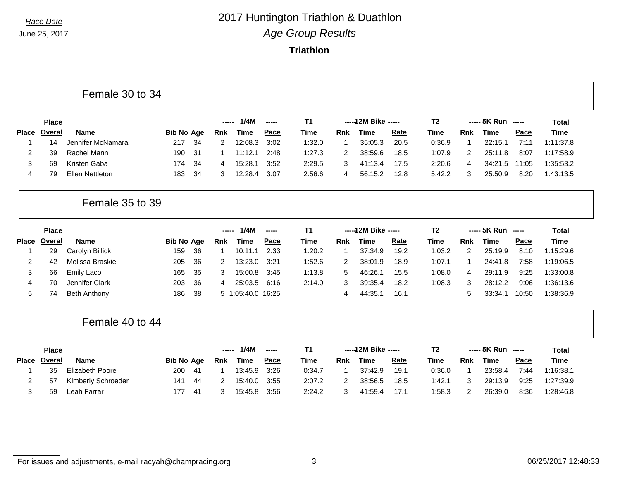#### *Race Date* 2017 Huntington Triathlon & Duathlon *Age Group Results*

**Triathlon**

|              | <b>Place</b> |                   |                   |      | ----- | 1/4M    |             | T1          |     | $---12M$ Bike $---$ |             | T2     |            | ----- 5K Run | ------      | Total       |
|--------------|--------------|-------------------|-------------------|------|-------|---------|-------------|-------------|-----|---------------------|-------------|--------|------------|--------------|-------------|-------------|
| <b>Place</b> | Overal       | Name              | <b>Bib No Age</b> |      | Rnk   | Time    | <u>Pace</u> | <u>Time</u> | Rnk | Time                | <b>Rate</b> | Time   | <b>Rnk</b> | Time         | <u>Pace</u> | <b>Time</b> |
|              | 14           | Jennifer McNamara | 217               | -34  | 2     | 12:08.3 | 3:02        | 1:32.0      |     | 35:05.3             | 20.5        | 0:36.9 |            | 22:15.1      | 7:11        | 1:11:37.8   |
|              | 39           | Rachel Mann       | 190               | - 31 |       | 11:12.1 | 2:48        | 1:27.3      | 2   | 38:59.6             | 18.5        | 1:07.9 |            | 25:11.8      | 8:07        | 1:17:58.9   |
|              | 69           | Kristen Gaba      | 174.              | -34  | 4     | 15:28.1 | 3:52        | 2:29.5      |     | 41:13.4             | 17.5        | 2:20.6 | 4          | 34:21.5      | 11:05       | 1:35:53.2   |
| 4            | 79           | Ellen Nettleton   | 183               | - 34 | 3     | 12:28.4 | 3:07        | 2:56.6      | 4   | 56:15.2             | 12.8        | 5:42.2 |            | 25:50.9      | 8:20        | 1:43:13.5   |

#### Female 35 to 39

Female 30 to 34

|              | <b>Place</b> |                 |                   |      |     | 1/4M              | $\frac{1}{2}$ | Τ1     |     | $---12M$ Bike $---$ |             | Т2     |               | $--- 5K Run$ $---$ |       | Total     |
|--------------|--------------|-----------------|-------------------|------|-----|-------------------|---------------|--------|-----|---------------------|-------------|--------|---------------|--------------------|-------|-----------|
| <b>Place</b> | Overal       | Name            | <b>Bib No Age</b> |      | Rnk | Time              | Pace          | Time   | Rnk | Time                | <u>Rate</u> | Time   | Rnk           | Time               | Pace  | Time      |
|              | 29           | Carolyn Billick | 159               | 36   |     | 10:11.1           | 2:33          | 1:20.2 |     | 37:34.9             | 19.2        | 1:03.2 | $\mathcal{P}$ | 25:19.9            | 8:10  | 1:15:29.6 |
|              | 42           | Melissa Braskie | 205 36            |      |     | 13:23.0           | 3:21          | 1:52.6 |     | 38:01.9             | 18.9        | 1:07.1 |               | 24:41.8            | 7:58  | 1:19:06.5 |
|              | 66           | Emily Laco      | 165               | - 35 | 3   | 15:00.8           | 3:45          | 1:13.8 | 5   | 46:26.1             | 15.5        | 1:08.0 | 4             | 29:11.9            | 9:25  | 1:33:00.8 |
| 4            | 70           | Jennifer Clark  | 203               | -36  | 4   | 25:03.5           | 6:16          | 2:14.0 |     | 39:35.4             | 18.2        | 1:08.3 | 3             | 28:12.2            | 9:06  | 1:36:13.6 |
| 5.           | 74           | Beth Anthony    | 186               | -38  |     | 5 1:05:40.0 16:25 |               |        |     | 44:35.              | 16.1        |        | 5             | 33:34.7            | 10:50 | 1:38:36.9 |

#### Female 40 to 44

|              | <b>Place</b> |                    |                   |      | ----- | 1/4M        | $- - - - -$ |             |            | -----12M Bike ----- |             | T2     |            | ----- 5K Run ----- |             | Total       |
|--------------|--------------|--------------------|-------------------|------|-------|-------------|-------------|-------------|------------|---------------------|-------------|--------|------------|--------------------|-------------|-------------|
| <b>Place</b> | Overal       | <b>Name</b>        | <b>Bib No Age</b> |      | Rnk   | <b>Time</b> | <u>Pace</u> | <b>Time</b> | <b>Rnk</b> | <u>Time</u>         | <u>Rate</u> | Time   | <b>Rnk</b> | <b>Time</b>        | <u>Pace</u> | <b>Time</b> |
|              | 35           | Elizabeth Poore    | 200               | - 41 |       | 13:45.9     | 3:26        | 0:34.7      |            | 37:42.9             | 19.1        | 0:36.0 |            | 23:58.4            | 7:44        | 1:16:38.1   |
|              | 57           | Kimberly Schroeder | 141               | -44  |       | 15:40.0     | 3:55        | 2:07.2      |            | 38:56.5             | 18.5        | 1:42.1 |            | 29:13.9            | 9:25        | 1:27:39.9   |
|              | 59           | Leah Farrar        | 177               | - 41 |       | 15:45.8     | 3:56        | 2:24.2      |            | 41:59.4             | 17.1        | 1:58.3 |            | 26:39.0            | 8:36        | 1:28:46.8   |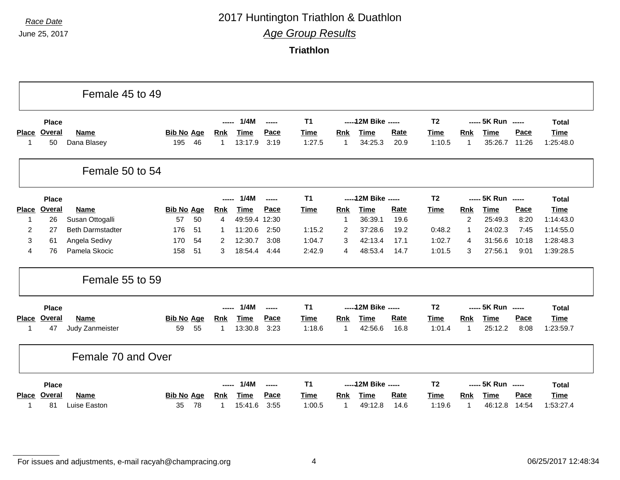## *Race Date* 2017 Huntington Triathlon & Duathlon

*Age Group Results*

**Triathlon**

|                    |                     | Female 45 to 49                |                                |                            |                        |               |                       |                     |                        |                     |                       |                                       |                        |               |                          |
|--------------------|---------------------|--------------------------------|--------------------------------|----------------------------|------------------------|---------------|-----------------------|---------------------|------------------------|---------------------|-----------------------|---------------------------------------|------------------------|---------------|--------------------------|
|                    | <b>Place</b>        |                                |                                |                            | 1/4M                   | $\frac{1}{2}$ | <b>T1</b>             |                     | ----- 12M Bike -----   |                     | T <sub>2</sub>        |                                       | ----- 5K Run -----     |               | <b>Total</b>             |
| <b>Place</b><br>-1 | Overal<br>50        | <b>Name</b><br>Dana Blasey     | <b>Bib No Age</b><br>195<br>46 | <b>Rnk</b><br>1            | <b>Time</b><br>13:17.9 | Pace<br>3:19  | <b>Time</b><br>1:27.5 | <b>Rnk</b><br>-1    | <b>Time</b><br>34:25.3 | Rate<br>20.9        | <b>Time</b><br>1:10.5 | <b>Rnk</b><br>-1                      | <b>Time</b><br>35:26.7 | Pace<br>11:26 | <b>Time</b><br>1:25:48.0 |
|                    |                     | Female 50 to 54                |                                |                            |                        |               |                       |                     |                        |                     |                       |                                       |                        |               |                          |
|                    | Place               |                                |                                | ------                     | 1/4M                   | $\frac{1}{2}$ | T <sub>1</sub>        |                     | ----- 12M Bike -----   |                     | T <sub>2</sub>        |                                       | ----- 5K Run -----     |               | <b>Total</b>             |
| <b>Place</b>       | <b>Overal</b>       | <b>Name</b>                    | <b>Bib No Age</b>              | <b>Rnk</b>                 | <b>Time</b>            | Pace          | <b>Time</b>           | Rnk                 | <b>Time</b>            | Rate                | <b>Time</b>           | <b>Rnk</b>                            | <b>Time</b>            | Pace          | <b>Time</b>              |
| 1                  | 26                  | Susan Ottogalli                | 57<br>50                       | 4                          | 49:59.4 12:30          |               |                       | -1                  | 36:39.1                | 19.6                |                       | $\overline{c}$                        | 25:49.3                | 8:20          | 1:14:43.0                |
| 2<br>3             | 27<br>61            | <b>Beth Darmstadter</b>        | 51<br>176<br>170<br>54         |                            | 11:20.6<br>12:30.7     | 2:50<br>3:08  | 1:15.2<br>1:04.7      | 2<br>3              | 37:28.6<br>42:13.4     | 19.2<br>17.1        | 0:48.2<br>1:02.7      | -1                                    | 24:02.3<br>31:56.6     | 7:45<br>10:18 | 1:14:55.0<br>1:28:48.3   |
| $\overline{4}$     | 76                  | Angela Sedivy<br>Pamela Skocic | 51<br>158                      | $\overline{2}$<br>3        | 18:54.4                | 4:44          | 2:42.9                | 4                   | 48:53.4                | 14.7                | 1:01.5                | 4<br>3                                | 27:56.1                | 9:01          | 1:39:28.5                |
|                    |                     | Female 55 to 59                |                                |                            |                        |               |                       |                     |                        |                     |                       |                                       |                        |               |                          |
|                    | <b>Place</b>        |                                |                                | -----                      | 1/4M                   | -----         | T <sub>1</sub>        |                     | ----- 12M Bike -----   |                     | T <sub>2</sub>        |                                       | ----- 5K Run -----     |               | <b>Total</b>             |
| <b>Place</b><br>1  | <b>Overal</b><br>47 | Name<br>Judy Zanmeister        | <b>Bib No Age</b><br>59<br>55  | <b>Rnk</b><br>$\mathbf{1}$ | <b>Time</b><br>13:30.8 | Pace<br>3:23  | <b>Time</b><br>1:18.6 | Rnk<br>$\mathbf{1}$ | <b>Time</b><br>42:56.6 | <b>Rate</b><br>16.8 | Time<br>1:01.4        | <b>Rnk</b><br>$\overline{\mathbf{1}}$ | <b>Time</b><br>25:12.2 | Pace<br>8:08  | <b>Time</b><br>1:23:59.7 |
|                    |                     | Female 70 and Over             |                                |                            |                        |               |                       |                     |                        |                     |                       |                                       |                        |               |                          |
|                    | Place               |                                |                                | $- - - - -$                | 1/4M                   | $\frac{1}{2}$ | <b>T1</b>             |                     | ----- 12M Bike -----   |                     | T <sub>2</sub>        |                                       | ----- 5K Run -----     |               | <b>Total</b>             |
| <b>Place</b>       | Overal              | <b>Name</b>                    | <b>Bib No Age</b>              | <b>Rnk</b>                 | <b>Time</b>            | Pace          | Time                  | Rnk                 | <b>Time</b>            | <b>Rate</b>         | Time                  | <b>Rnk</b>                            | <b>Time</b>            | Pace          | <b>Time</b>              |
| -1                 | 81                  | Luise Easton                   | 78<br>35                       |                            | 15:41.6                | 3:55          | 1:00.5                | $\mathbf 1$         | 49:12.8                | 14.6                | 1:19.6                | -1                                    | 46:12.8                | 14:54         | 1:53:27.4                |

For issues and adjustments, e-mail racyah@champracing.org 4 06/25/2017 12:48:34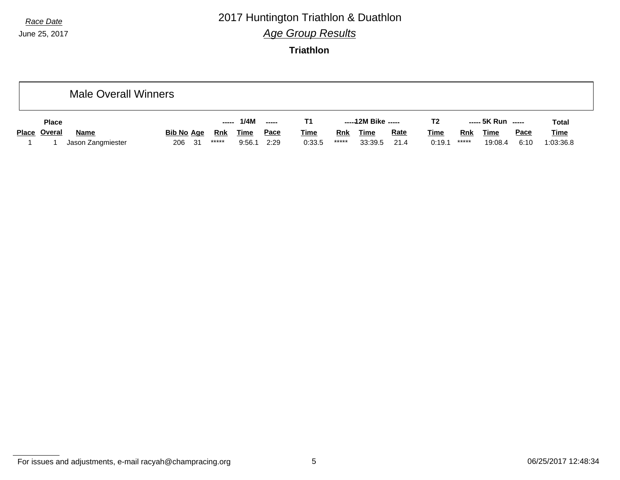#### *Race Date* 2017 Huntington Triathlon & Duathlon *Age Group Results*

**Triathlon**

|              | Male Overall Winners |                   |        |             |                          |             |       |                     |             |                |       |                    |             |              |
|--------------|----------------------|-------------------|--------|-------------|--------------------------|-------------|-------|---------------------|-------------|----------------|-------|--------------------|-------------|--------------|
| <b>Place</b> |                      |                   | ------ | 1/4M        | $\overline{\phantom{a}}$ | T1          |       | -----12M Bike ----- |             | T <sub>2</sub> |       | ----- 5K Run ----- |             | <b>Total</b> |
| Place Overal | <b>Name</b>          | <u>Bib No_Age</u> | Rnk    | <b>Time</b> | <u>Pace</u>              | <b>Time</b> | Rnk   | <b>Time</b>         | <b>Rate</b> | <u>Time</u>    | Rnk   | <b>Time</b>        | <b>Pace</b> | <b>Time</b>  |
|              | Jason Zangmiester    | 206 31            | *****  | 9:56.1      | 2:29                     | 0:33.5      | ***** | 33:39.5             | 21.4        | 0:19.1         | ***** | 19:08.4            | 6:10        | 1:03:36.8    |

For issues and adjustments, e-mail racyah@champracing.org 6 06/25/2017 12:48:34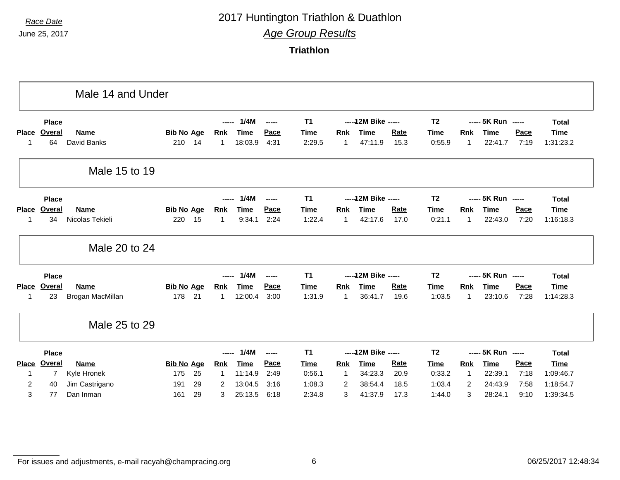## *Race Date* 2017 Huntington Triathlon & Duathlon *Age Group Results*

**Triathlon**

|                |              | Male 14 and Under |                   |    |             |             |               |                |                |                      |             |                |              |                    |      |              |
|----------------|--------------|-------------------|-------------------|----|-------------|-------------|---------------|----------------|----------------|----------------------|-------------|----------------|--------------|--------------------|------|--------------|
|                | <b>Place</b> |                   |                   |    | -----       | 1/4M        | $\frac{1}{2}$ | <b>T1</b>      |                | ----- 12M Bike ----- |             | T <sub>2</sub> |              | ----- 5K Run ----- |      | <b>Total</b> |
| <b>Place</b>   | Overal       | <b>Name</b>       | <b>Bib No Age</b> |    | <b>Rnk</b>  | <b>Time</b> | Pace          | <b>Time</b>    | Rnk            | <b>Time</b>          | Rate        | Time           | Rnk          | <b>Time</b>        | Pace | <b>Time</b>  |
| 1              | 64           | David Banks       | 210               | 14 | 1           | 18:03.9     | 4:31          | 2:29.5         | $\overline{1}$ | 47:11.9              | 15.3        | 0:55.9         | $\mathbf{1}$ | 22:41.7            | 7:19 | 1:31:23.2    |
|                |              | Male 15 to 19     |                   |    |             |             |               |                |                |                      |             |                |              |                    |      |              |
|                | <b>Place</b> |                   |                   |    | -----       | 1/4M        | $-$           | T <sub>1</sub> |                | ----- 12M Bike ----- |             | T <sub>2</sub> |              | ----- 5K Run ----- |      | <b>Total</b> |
| <b>Place</b>   | Overal       | <b>Name</b>       | <b>Bib No Age</b> |    | <b>Rnk</b>  | <b>Time</b> | Pace          | Time           | Rnk            | <b>Time</b>          | Rate        | <b>Time</b>    | Rnk          | <b>Time</b>        | Pace | <b>Time</b>  |
| 1              | 34           | Nicolas Tekieli   | 220               | 15 | $\mathbf 1$ | 9:34.1      | 2:24          | 1:22.4         | $\mathbf{1}$   | 42:17.6              | 17.0        | 0:21.1         | $\mathbf{1}$ | 22:43.0            | 7:20 | 1:16:18.3    |
|                |              | Male 20 to 24     |                   |    |             |             |               |                |                |                      |             |                |              |                    |      |              |
|                | <b>Place</b> |                   |                   |    | -----       | 1/4M        | $-0.000$      | <b>T1</b>      |                | ----- 12M Bike ----- |             | T <sub>2</sub> |              | ----- 5K Run ----- |      | <b>Total</b> |
| <b>Place</b>   | Overal       | Name              | <b>Bib No Age</b> |    | <u>Rnk</u>  | Time        | Pace          | Time           | Rnk            | <b>Time</b>          | <b>Rate</b> | <b>Time</b>    | Rnk          | <b>Time</b>        | Pace | <b>Time</b>  |
| 1              | 23           | Brogan MacMillan  | 178               | 21 | $\mathbf 1$ | 12:00.4     | 3:00          | 1:31.9         | $\overline{1}$ | 36:41.7              | 19.6        | 1:03.5         | $\mathbf{1}$ | 23:10.6            | 7:28 | 1:14:28.3    |
|                |              | Male 25 to 29     |                   |    |             |             |               |                |                |                      |             |                |              |                    |      |              |
|                | <b>Place</b> |                   |                   |    | -----       | 1/4M        | $\frac{1}{2}$ | <b>T1</b>      |                | ----- 12M Bike ----- |             | T <sub>2</sub> |              | ----- 5K Run ----- |      | <b>Total</b> |
| <b>Place</b>   | Overal       | Name              | <b>Bib No Age</b> |    | <b>Rnk</b>  | Time        | Pace          | <b>Time</b>    | <b>Rnk</b>     | <b>Time</b>          | Rate        | <b>Time</b>    | <b>Rnk</b>   | <b>Time</b>        | Pace | <b>Time</b>  |
| 1              | 7            | Kyle Hronek       | 175               | 25 | $\mathbf 1$ | 11:14.9     | 2:49          | 0:56.1         | $\overline{1}$ | 34:23.3              | 20.9        | 0:33.2         | $\mathbf{1}$ | 22:39.1            | 7:18 | 1:09:46.7    |
| $\overline{c}$ | 40           | Jim Castrigano    | 191               | 29 | 2           | 13:04.5     | 3:16          | 1:08.3         | 2              | 38:54.4              | 18.5        | 1:03.4         | 2            | 24:43.9            | 7:58 | 1:18:54.7    |
|                |              |                   |                   |    |             |             |               |                |                |                      |             |                |              |                    |      |              |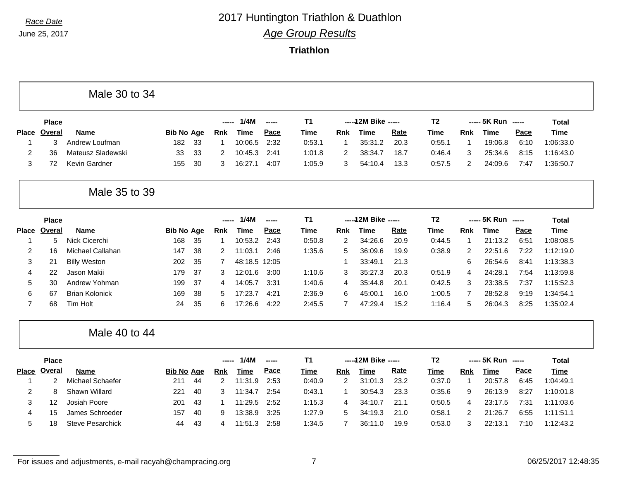## *Race Date* 2017 Huntington Triathlon & Duathlon

*Age Group Results*

**Triathlon**

|                |              | Male 30 to 34           |                   |    |             |               |       |             |                |                      |             |                |             |                    |      |              |
|----------------|--------------|-------------------------|-------------------|----|-------------|---------------|-------|-------------|----------------|----------------------|-------------|----------------|-------------|--------------------|------|--------------|
|                | <b>Place</b> |                         |                   |    | -----       | 1/4M          | ----- | <b>T1</b>   |                | ----- 12M Bike ----- |             | T <sub>2</sub> |             | ----- 5K Run ----- |      | <b>Total</b> |
| <b>Place</b>   | Overal       | <b>Name</b>             | <b>Bib No Age</b> |    | Rnk         | <b>Time</b>   | Pace  | Time        | Rnk            | <b>Time</b>          | Rate        | Time           | Rnk         | <b>Time</b>        | Pace | Time         |
| 1              | 3            | Andrew Loufman          | 182               | 33 | $\mathbf 1$ | 10:06.5       | 2:32  | 0:53.1      | 1              | 35:31.2              | 20.3        | 0:55.1         | -1          | 19:06.8            | 6:10 | 1:06:33.0    |
| $\overline{2}$ | 36           | Mateusz Sladewski       | 33                | 33 | 2           | 10:45.3       | 2:41  | 1:01.8      | $\overline{c}$ | 38:34.7              | 18.7        | 0:46.4         | 3           | 25:34.6            | 8:15 | 1:16:43.0    |
| 3              | 72           | <b>Kevin Gardner</b>    | 155               | 30 | 3           | 16:27.1       | 4:07  | 1:05.9      | 3              | 54:10.4              | 13.3        | 0:57.5         | 2           | 24:09.6            | 7:47 | 1:36:50.7    |
|                |              | Male 35 to 39           |                   |    |             |               |       |             |                |                      |             |                |             |                    |      |              |
|                | <b>Place</b> |                         |                   |    | -----       | 1/4M          | ----- | <b>T1</b>   |                | ----- 12M Bike ----- |             | T <sub>2</sub> |             | ----- 5K Run ----- |      | <b>Total</b> |
| <b>Place</b>   | Overal       | <b>Name</b>             | <b>Bib No Age</b> |    | <b>Rnk</b>  | <b>Time</b>   | Pace  | <b>Time</b> | <b>Rnk</b>     | <b>Time</b>          | Rate        | <b>Time</b>    | Rnk         | <b>Time</b>        | Pace | <b>Time</b>  |
| -1             | 5            | Nick Cicerchi           | 168               | 35 | 1           | 10:53.2       | 2:43  | 0:50.8      | 2              | 34:26.6              | 20.9        | 0:44.5         | $\mathbf 1$ | 21:13.2            | 6:51 | 1:08:08.5    |
| 2              | 16           | Michael Callahan        | 147               | 38 | 2           | 11:03.1       | 2:46  | 1:35.6      | 5              | 36:09.6              | 19.9        | 0:38.9         | 2           | 22:51.6            | 7:22 | 1:12:19.0    |
| 3              | 21           | <b>Billy Weston</b>     | 202               | 35 | 7           | 48:18.5 12:05 |       |             | 1              | 33:49.1              | 21.3        |                | 6           | 26:54.6            | 8:41 | 1:13:38.3    |
| 4              | 22           | Jason Makii             | 179               | 37 | 3           | 12:01.6       | 3:00  | 1:10.6      | 3              | 35:27.3              | 20.3        | 0:51.9         | 4           | 24:28.1            | 7:54 | 1:13:59.8    |
| 5              | 30           | Andrew Yohman           | 199               | 37 | 4           | 14:05.7       | 3:31  | 1:40.6      | 4              | 35:44.8              | 20.1        | 0:42.5         | 3           | 23:38.5            | 7:37 | 1:15:52.3    |
| 6              | 67           | <b>Brian Kolonick</b>   | 169               | 38 | 5           | 17:23.7       | 4:21  | 2:36.9      | 6              | 45:00.1              | 16.0        | 1:00.5         | 7           | 28:52.8            | 9:19 | 1:34:54.1    |
| $\overline{7}$ | 68           | Tim Holt                | 24                | 35 | 6           | 17:26.6       | 4:22  | 2:45.5      | $\overline{7}$ | 47:29.4              | 15.2        | 1:16.4         | 5           | 26:04.3            | 8:25 | 1:35:02.4    |
|                |              | Male 40 to 44           |                   |    |             |               |       |             |                |                      |             |                |             |                    |      |              |
|                | Place        |                         |                   |    | ----        | 1/4M          | ----- | T1          |                | ----- 12M Bike ----- |             | T <sub>2</sub> |             | ----- 5K Run ----- |      | <b>Total</b> |
| <b>Place</b>   | Overal       | <b>Name</b>             | <b>Bib No Age</b> |    | Rnk         | <b>Time</b>   | Pace  | <b>Time</b> | Rnk            | <b>Time</b>          | <b>Rate</b> | Time           | Rnk         | <b>Time</b>        | Pace | Time         |
| 1              | 2            | Michael Schaefer        | 211               | 44 | 2           | 11:31.9       | 2:53  | 0:40.9      | $\overline{c}$ | 31:01.3              | 23.2        | 0:37.0         | $\mathbf 1$ | 20:57.8            | 6:45 | 1:04:49.1    |
| $\overline{2}$ | 8            | Shawn Willard           | 221               | 40 | 3           | 11:34.7       | 2:54  | 0:43.1      | 1              | 30:54.3              | 23.3        | 0:35.6         | 9           | 26:13.9            | 8:27 | 1:10:01.8    |
| 3              | 12           | Josiah Poore            | 201               | 43 | -1          | 11:29.5       | 2:52  | 1:15.3      | 4              | 34:10.7              | 21.1        | 0:50.5         | 4           | 23:17.5            | 7:31 | 1:11:03.6    |
| 4              | 15           | James Schroeder         | 157               | 40 | 9           | 13:38.9       | 3:25  | 1:27.9      | 5              | 34:19.3              | 21.0        | 0:58.1         | 2           | 21:26.7            | 6:55 | 1:11:51.1    |
| 5              | 18           | <b>Steve Pesarchick</b> | 44                | 43 | 4           | 11:51.3       | 2:58  | 1:34.5      | $\overline{7}$ | 36:11.0              | 19.9        | 0:53.0         | 3           | 22:13.1            | 7:10 | 1:12:43.2    |

For issues and adjustments, e-mail racyah@champracing.org 7 06/25/2017 12:48:35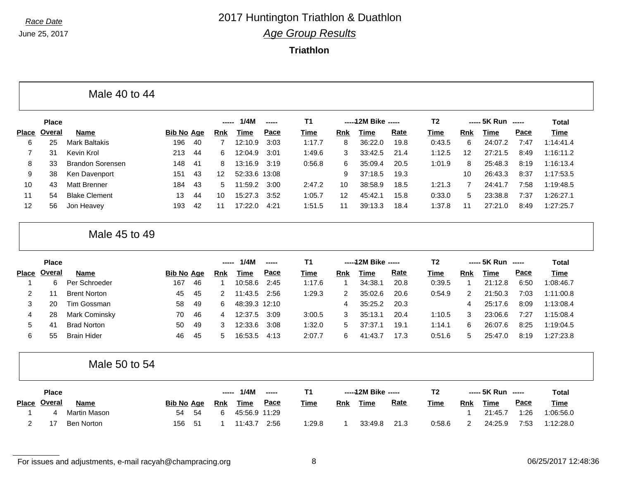## *Race Date* 2017 Huntington Triathlon & Duathlon *Age Group Results*

**Triathlon**

|                |              | Male 40 to 44           |                   |    |                |               |               |             |            |                      |             |                |                |                    |      |              |
|----------------|--------------|-------------------------|-------------------|----|----------------|---------------|---------------|-------------|------------|----------------------|-------------|----------------|----------------|--------------------|------|--------------|
|                | <b>Place</b> |                         |                   |    | -----          | 1/4M          | $\frac{1}{2}$ | T1          |            | ----- 12M Bike ----- |             | T <sub>2</sub> |                | ----- 5K Run ----- |      | <b>Total</b> |
| <b>Place</b>   | Overal       | <b>Name</b>             | <b>Bib No Age</b> |    | <b>Rnk</b>     | <b>Time</b>   | Pace          | <b>Time</b> | <b>Rnk</b> | <b>Time</b>          | Rate        | <b>Time</b>    | <b>Rnk</b>     | <b>Time</b>        | Pace | <b>Time</b>  |
| 6              | 25           | <b>Mark Baltakis</b>    | 196               | 40 | $\overline{7}$ | 12:10.9       | 3:03          | 1:17.7      | 8          | 36:22.0              | 19.8        | 0:43.5         | 6              | 24:07.2            | 7:47 | 1:14:41.4    |
| $\overline{7}$ | 31           | Kevin Krol              | 213               | 44 | 6              | 12:04.9       | 3:01          | 1:49.6      | 3          | 33:42.5              | 21.4        | 1:12.5         | 12             | 27:21.5            | 8:49 | 1:16:11.2    |
| 8              | 33           | <b>Brandon Sorensen</b> | 148               | 41 | 8              | 13:16.9       | 3:19          | 0:56.8      | 6          | 35:09.4              | 20.5        | 1:01.9         | 8              | 25:48.3            | 8:19 | 1:16:13.4    |
| 9              | 38           | Ken Davenport           | 151               | 43 | 12             | 52:33.6       | 13:08         |             | 9          | 37:18.5              | 19.3        |                | 10             | 26:43.3            | 8:37 | 1:17:53.5    |
| 10             | 43           | <b>Matt Brenner</b>     | 184               | 43 | 5              | 11:59.2       | 3:00          | 2:47.2      | 10         | 38:58.9              | 18.5        | 1:21.3         | $\overline{7}$ | 24:41.7            | 7:58 | 1:19:48.5    |
| 11             | 54           | <b>Blake Clement</b>    | 13                | 44 | 10             | 15:27.3       | 3:52          | 1:05.7      | 12         | 45:42.1              | 15.8        | 0:33.0         | 5              | 23:38.8            | 7:37 | 1:26:27.1    |
| 12             | 56           | Jon Heavey              | 193               | 42 | 11             | 17:22.0       | 4:21          | 1:51.5      | 11         | 39:13.3              | 18.4        | 1:37.8         | 11             | 27:21.0            | 8:49 | 1:27:25.7    |
|                |              | Male 45 to 49           |                   |    |                |               |               |             |            |                      |             |                |                |                    |      |              |
|                | Place        |                         |                   |    | -----          | 1/4M          | -----         | T1          |            | ----- 12M Bike ----- |             | T <sub>2</sub> |                | ----- 5K Run ----- |      | <b>Total</b> |
| <b>Place</b>   | Overal       | <b>Name</b>             | <b>Bib No Age</b> |    | Rnk            | <b>Time</b>   | Pace          | Time        | <b>Rnk</b> | <b>Time</b>          | <b>Rate</b> | <b>Time</b>    | <b>Rnk</b>     | <b>Time</b>        | Pace | <b>Time</b>  |
| $\mathbf 1$    | 6            | Per Schroeder           | 167               | 46 | 1              | 10:58.6       | 2:45          | 1:17.6      | 1          | 34:38.1              | 20.8        | 0:39.5         | $\overline{1}$ | 21:12.8            | 6:50 | 1:08:46.7    |
| 2              | 11           | <b>Brent Norton</b>     | 45                | 45 | 2              | 11:43.5       | 2:56          | 1:29.3      | 2          | 35:02.6              | 20.6        | 0:54.9         | $\overline{2}$ | 21:50.3            | 7:03 | 1:11:00.8    |
| 3              | 20           | Tim Gossman             | 58                | 49 | 6              | 48:39.3 12:10 |               |             | 4          | 35:25.2              | 20.3        |                | 4              | 25:17.6            | 8:09 | 1:13:08.4    |
| 4              | 28           | Mark Cominsky           | 70                | 46 | 4              | 12:37.5       | 3:09          | 3:00.5      | 3          | 35:13.1              | 20.4        | 1:10.5         | 3              | 23:06.6            | 7:27 | 1:15:08.4    |
| 5              | 41           | <b>Brad Norton</b>      | 50                | 49 | 3              | 12:33.6       | 3:08          | 1:32.0      | 5          | 37:37.1              | 19.1        | 1:14.1         | 6              | 26:07.6            | 8:25 | 1:19:04.5    |
| 6              | 55           | <b>Brain Hider</b>      | 46                | 45 | 5              | 16:53.5       | 4:13          | 2:07.7      | 6          | 41:43.7              | 17.3        | 0:51.6         | 5              | 25:47.0            | 8:19 | 1:27:23.8    |
|                |              | Male 50 to 54           |                   |    |                |               |               |             |            |                      |             |                |                |                    |      |              |
|                | <b>Place</b> |                         |                   |    | -----          | 1/4M          | -----         | <b>T1</b>   |            | ----- 12M Bike ----- |             | T <sub>2</sub> |                | ----- 5K Run ----- |      | <b>Total</b> |
| Place          | Overal       | <b>Name</b>             | <b>Bib No Age</b> |    | <b>Rnk</b>     | <b>Time</b>   | Pace          | Time        | Rnk        | <b>Time</b>          | <b>Rate</b> | <b>Time</b>    | <b>Rnk</b>     | <b>Time</b>        | Pace | <b>Time</b>  |
| 1              | 4            | <b>Martin Mason</b>     | 54                | 54 | 6              | 45:56.9 11:29 |               |             |            |                      |             |                | -1             | 21:45.7            | 1:26 | 1:06:56.0    |
|                |              |                         |                   |    |                |               |               |             |            |                      |             |                |                |                    |      |              |

For issues and adjustments, e-mail racyah@champracing.org 8 06/25/2017 12:48:36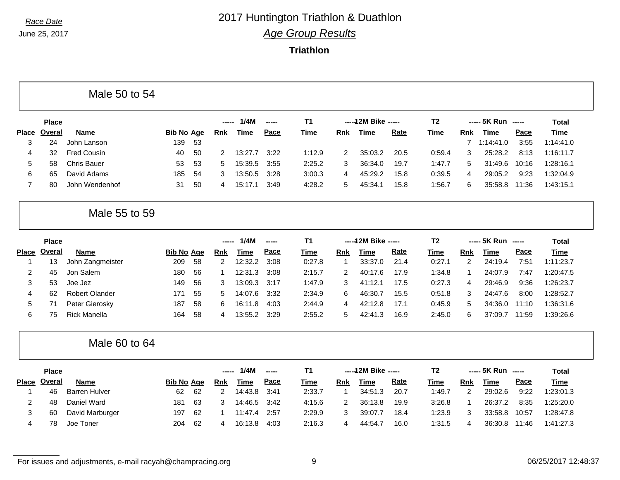## *Race Date* 2017 Huntington Triathlon & Duathlon *Age Group Results*

**Triathlon**

|                |               | Male 50 to 54        |                   |    |            |             |               |                |            |                      |             |                |                |                    |       |              |
|----------------|---------------|----------------------|-------------------|----|------------|-------------|---------------|----------------|------------|----------------------|-------------|----------------|----------------|--------------------|-------|--------------|
|                | <b>Place</b>  |                      |                   |    | ---        | 1/4M        | -----         | T <sub>1</sub> |            | ----- 12M Bike ----- |             | T <sub>2</sub> |                | ----- 5K Run ----- |       | <b>Total</b> |
| <b>Place</b>   | <b>Overal</b> | <b>Name</b>          | <b>Bib No Age</b> |    | <b>Rnk</b> | <b>Time</b> | Pace          | <b>Time</b>    | <b>Rnk</b> | <b>Time</b>          | <b>Rate</b> | <b>Time</b>    | Rnk            | <b>Time</b>        | Pace  | Time         |
| 3              | 24            | John Lanson          | 139               | 53 |            |             |               |                |            |                      |             |                | $\overline{7}$ | 1:14:41.0          | 3:55  | 1:14:41.0    |
| 4              | 32            | <b>Fred Cousin</b>   | 40                | 50 | 2          | 13:27.7     | 3:22          | 1:12.9         | 2          | 35:03.2              | 20.5        | 0:59.4         | 3              | 25:28.2            | 8:13  | 1:16:11.7    |
| 5              | 58            | <b>Chris Bauer</b>   | 53                | 53 | 5          | 15:39.5     | 3:55          | 2:25.2         | 3          | 36:34.0              | 19.7        | 1:47.7         | 5              | 31:49.6            | 10:16 | 1:28:16.1    |
| 6              | 65            | David Adams          | 185               | 54 | 3          | 13:50.5     | 3:28          | 3:00.3         | 4          | 45:29.2              | 15.8        | 0:39.5         | $\overline{4}$ | 29:05.2            | 9:23  | 1:32:04.9    |
| $\overline{7}$ | 80            | John Wendenhof       | 31                | 50 | 4          | 15:17.1     | 3:49          | 4:28.2         | 5          | 45:34.1              | 15.8        | 1:56.7         | 6              | 35:58.8            | 11:36 | 1:43:15.1    |
|                |               | Male 55 to 59        |                   |    |            |             |               |                |            |                      |             |                |                |                    |       |              |
|                | <b>Place</b>  |                      |                   |    | ----       | 1/4M        | $\frac{1}{2}$ | <b>T1</b>      |            | ----- 12M Bike ----- |             | T <sub>2</sub> |                | ----- 5K Run ----- |       | <b>Total</b> |
| Place          | <b>Overal</b> | <b>Name</b>          | <b>Bib No Age</b> |    | <b>Rnk</b> | Time        | Pace          | <b>Time</b>    | Rnk        | <b>Time</b>          | <b>Rate</b> | <b>Time</b>    | Rnk            | <b>Time</b>        | Pace  | <b>Time</b>  |
| -1             | 13            | John Zangmeister     | 209               | 58 | 2          | 12:32.2     | 3:08          | 0:27.8         | 1          | 33:37.0              | 21.4        | 0:27.1         | 2              | 24:19.4            | 7:51  | 1:11:23.7    |
| $\overline{2}$ | 45            | Jon Salem            | 180               | 56 | -1         | 12:31.3     | 3:08          | 2:15.7         | 2          | 40:17.6              | 17.9        | 1:34.8         | $\mathbf{1}$   | 24:07.9            | 7:47  | 1:20:47.5    |
| 3              | 53            | Joe Jez              | 149               | 56 | 3          | 13:09.3     | 3:17          | 1:47.9         | 3          | 41:12.1              | 17.5        | 0:27.3         | $\overline{4}$ | 29:46.9            | 9:36  | 1:26:23.7    |
| 4              | 62            | Robert Olander       | 171               | 55 | 5          | 14:07.6     | 3:32          | 2:34.9         | 6          | 46:30.7              | 15.5        | 0:51.8         | 3              | 24:47.6            | 8:00  | 1:28:52.7    |
| 5              | 71            | Peter Gierosky       | 187               | 58 | 6          | 16:11.8     | 4:03          | 2:44.9         | 4          | 42:12.8              | 17.1        | 0:45.9         | 5              | 34:36.0            | 11:10 | 1:36:31.6    |
| 6              | 75            | <b>Rick Manella</b>  | 164               | 58 | 4          | 13:55.2     | 3:29          | 2:55.2         | 5          | 42:41.3              | 16.9        | 2:45.0         | 6              | 37:09.7            | 11:59 | 1:39:26.6    |
|                |               | Male 60 to 64        |                   |    |            |             |               |                |            |                      |             |                |                |                    |       |              |
|                | <b>Place</b>  |                      |                   |    | ----       | 1/4M        | -----         | <b>T1</b>      |            | ----- 12M Bike ----- |             | <b>T2</b>      |                | ----- 5K Run ----- |       | <b>Total</b> |
| <b>Place</b>   | <b>Overal</b> | <b>Name</b>          | <b>Bib No Age</b> |    | <b>Rnk</b> | <b>Time</b> | Pace          | <b>Time</b>    | Rnk        | <b>Time</b>          | Rate        | Time           | Rnk            | <b>Time</b>        | Pace  | <b>Time</b>  |
| -1             | 46            | <b>Barren Hulver</b> | 62                | 62 | 2          | 14:43.8     | 3:41          | 2:33.7         | 1          | 34:51.3              | 20.7        | 1:49.7         | $\overline{c}$ | 29:02.6            | 9:22  | 1:23:01.3    |
| $\overline{2}$ | 48            | Daniel Ward          | 181               | 63 | 3          | 14:46.5     | 3:42          | 4:15.6         | 2          | 36:13.8              | 19.9        | 3:26.8         | $\mathbf{1}$   | 26:37.2            | 8:35  | 1:25:20.0    |
| 3              | 60            | David Marburger      | 197               | 62 | -1         | 11:47.4     | 2:57          | 2:29.9         | 3          | 39:07.7              | 18.4        | 1:23.9         | 3              | 33:58.8            | 10:57 | 1:28:47.8    |
| $\overline{4}$ | 78            | Joe Toner            | 204               | 62 | 4          | 16:13.8     | 4:03          | 2:16.3         | 4          | 44:54.7              | 16.0        | 1:31.5         | $\overline{4}$ | 36:30.8            | 11:46 | 1:41:27.3    |

For issues and adjustments, e-mail racyah@champracing.org 06/25/2017 12:48:37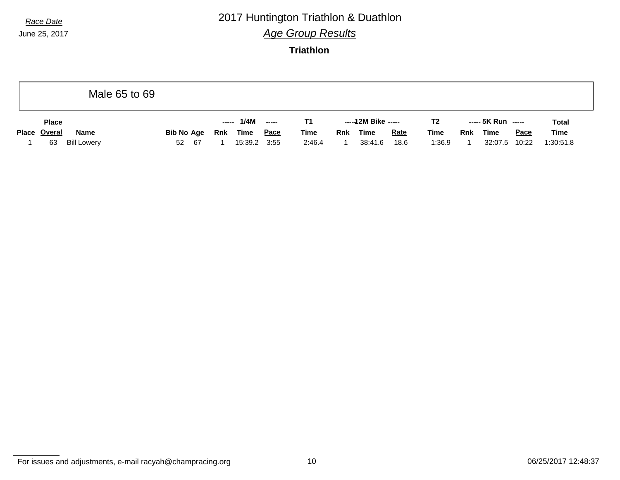# *Race Date* 2017 Huntington Triathlon & Duathlon

*Age Group Results*

**Triathlon**

|                          | Male 65 to 69 |                   |            |             |                          |             |            |                     |             |                |            |                    |             |              |
|--------------------------|---------------|-------------------|------------|-------------|--------------------------|-------------|------------|---------------------|-------------|----------------|------------|--------------------|-------------|--------------|
| <b>Place</b>             |               |                   | -----      | 1/4M        | $\overline{\phantom{a}}$ | T1          |            | -----12M Bike ----- |             | T <sub>2</sub> |            | ----- 5K Run ----- |             | <b>Total</b> |
| Place Overal             | <b>Name</b>   | <b>Bib No Age</b> | <u>Rnk</u> | <b>Time</b> | Pace                     | <b>Time</b> | <b>Rnk</b> | <b>Time</b>         | <b>Rate</b> | <b>Time</b>    | <b>Rnk</b> | <b>Time</b>        | <b>Pace</b> | <b>Time</b>  |
| <b>Bill Lowery</b><br>63 | 52            | - 67              |            | 15:39.2     | 3:55                     | 2:46.4      |            | 38:41.6             | 18.6        | 1:36.9         |            | 32:07.5            | 10:22       | 1:30:51.8    |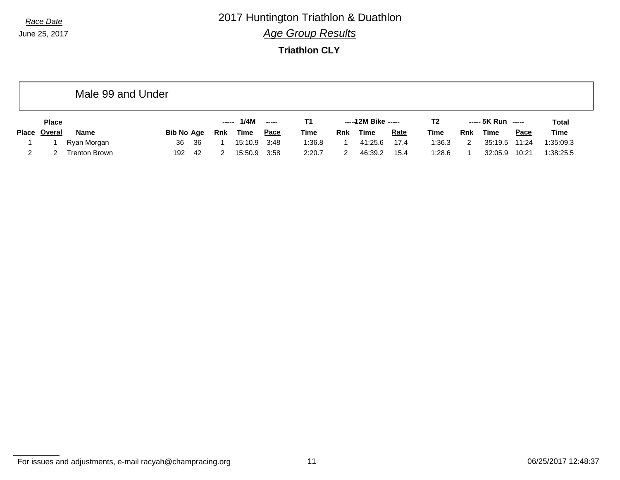*Race Date* 2017 Huntington Triathlon & Duathlon *Age Group Results*

**Triathlon CLY**

|              |               | Male 99 and Under    |            |       |             |             |             |                     |             |             |                |                    |         |             |             |
|--------------|---------------|----------------------|------------|-------|-------------|-------------|-------------|---------------------|-------------|-------------|----------------|--------------------|---------|-------------|-------------|
|              | <b>Place</b>  |                      |            | ----- | 1/4M        | ------      | Т1          | -----12M Bike ----- |             |             | T <sub>2</sub> | ----- 5K Run ----- |         | Total       |             |
| <b>Place</b> | <u>Overal</u> | <b>Name</b>          | Bib No Age | Rnk   | <u>Time</u> | <u>Pace</u> | <b>Time</b> | Rnk                 | <b>Time</b> | <b>Rate</b> | <b>Time</b>    | Rnk                | Time    | <b>Pace</b> | <b>Time</b> |
|              |               | Ryan Morgan          | 36<br>36   |       | 15:10.9     | 3:48        | 1:36.8      |                     | 41:25.6     | 17.4        | 1:36.3         | 2                  | 35:19.5 | 11:24       | 1:35:09.3   |
|              |               | <b>Trenton Brown</b> | 192<br>42  |       | 15:50.9     | 3:58        | 2:20.7      |                     | 46:39.2     | 15.4        | 1:28.6         |                    | 32:05.9 | 10:21       | 1:38:25.5   |

For issues and adjustments, e-mail racyah@champracing.org 11 1 and 11 06/25/2017 12:48:37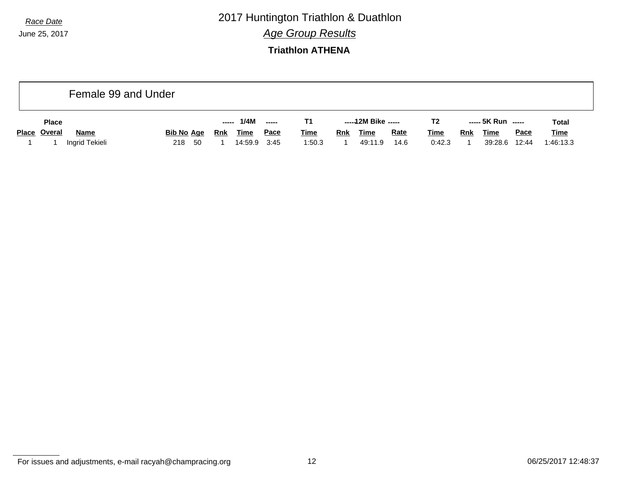*Race Date* 2017 Huntington Triathlon & Duathlon *Age Group Results*

**Triathlon ATHENA**

| Female 99 and Under |                                           |                   |      |            |                     |             |                |            |                    |             |              |            |             |             |             |
|---------------------|-------------------------------------------|-------------------|------|------------|---------------------|-------------|----------------|------------|--------------------|-------------|--------------|------------|-------------|-------------|-------------|
| <b>Place</b>        | 1/4M<br>$\overline{\phantom{a}}$<br>----- |                   |      |            | -----12M Bike ----- |             | T <sub>2</sub> |            | ----- 5K Run ----- |             | <b>Total</b> |            |             |             |             |
| Place Overal        | <b>Name</b>                               | <b>Bib No Age</b> |      | <b>Rnk</b> | <b>Time</b>         | <u>Pace</u> | <b>Time</b>    | <b>Rnk</b> | <b>Time</b>        | <b>Rate</b> | <b>Time</b>  | <b>Rnk</b> | <u>Time</u> | <u>Pace</u> | <b>Time</b> |
|                     | Ingrid Tekieli                            | 218               | - 50 |            | 14:59.9             | 3:45        | 1:50.3         |            | 49:11.9            | 14.6        | 0:42.3       |            | 39:28.6     | 12:44       | 1:46:13.3   |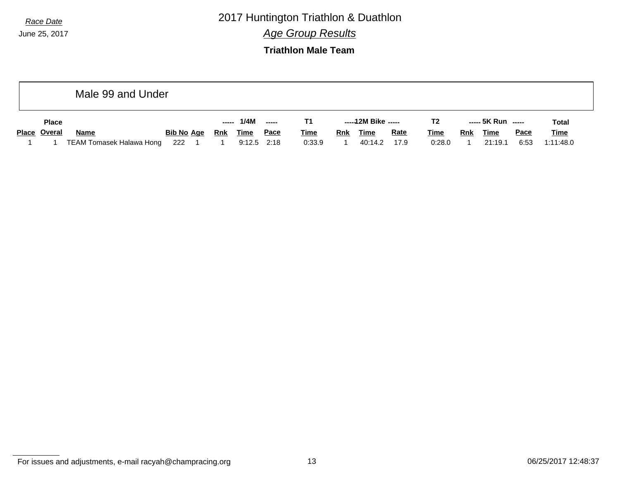*Race Date* 2017 Huntington Triathlon & Duathlon

*Age Group Results*

**Triathlon Male Team**

|              | Male 99 and Under        |                   |  |            |               |             |             |                     |         |                |             |                    |             |              |             |
|--------------|--------------------------|-------------------|--|------------|---------------|-------------|-------------|---------------------|---------|----------------|-------------|--------------------|-------------|--------------|-------------|
| <b>Place</b> |                          |                   |  | -----      | 1/4M          | $- - - - -$ |             | -----12M Bike ----- |         | T <sub>2</sub> |             | ----- 5K Run ----- |             | <b>Total</b> |             |
| Place Overal | <b>Name</b>              | <b>Bib No Age</b> |  | <b>Rnk</b> | Time          | <u>Pace</u> | <b>Time</b> | <b>Rnk</b>          | Time    | <b>Rate</b>    | <u>Time</u> | <b>Rnk</b>         | <b>Time</b> | <b>Pace</b>  | <u>Time</u> |
|              | TEAM Tomasek Halawa Hong | 222               |  |            | $9:12.5$ 2:18 |             | 0:33.9      |                     | 40:14.2 | 17.9           | 0:28.0      |                    | 21:19.1     | 6:53         | 1:11:48.0   |

For issues and adjustments, e-mail racyah@champracing.org 13 06/25/2017 12:48:37